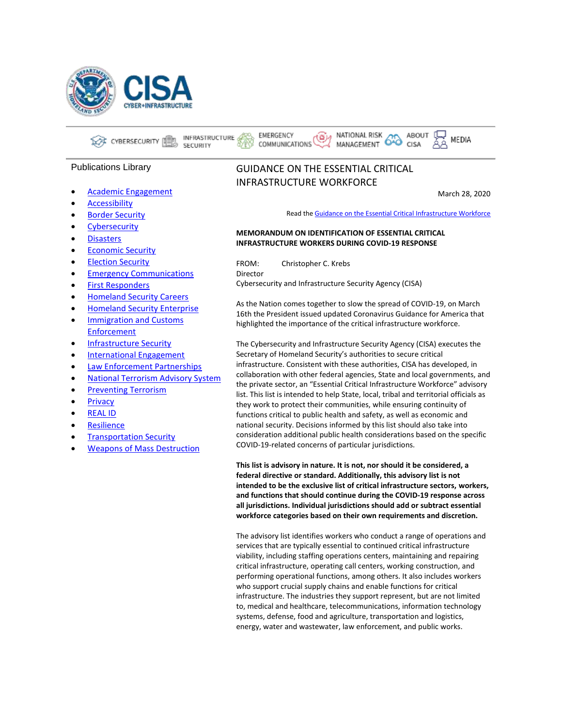

INFRASTRUCTURE CYBERSECURITY I **SECURITY** 

## Publications Library

- [Academic Engagement](https://www.cisa.gov/publications-library/Academic%20Engagement)
- **[Accessibility](https://www.cisa.gov/publications-library/Accessibility)**
- **[Border Security](https://www.cisa.gov/publications-library/Border%20Security)**
- [Cybersecurity](https://www.cisa.gov/publications-library/Cybersecurity)
- [Disasters](https://www.cisa.gov/publications-library/Disasters)
- [Economic Security](https://www.cisa.gov/publications-library/Economic%20Security)
- [Election Security](https://www.cisa.gov/publications-library/Election%20Security)
- **[Emergency Communications](https://www.cisa.gov/publications-library/Emergency%20Communications)**
- [First Responders](https://www.cisa.gov/publications-library/First%20Responders)
- [Homeland Security Careers](https://www.cisa.gov/publications-library/Homeland%20Security%20Careers)
- [Homeland Security Enterprise](https://www.cisa.gov/publications-library/Homeland%20Security%20Enterprise)
- [Immigration and Customs](https://www.cisa.gov/publications-library/Immigration%20and%20Customs%20Enforcement)  [Enforcement](https://www.cisa.gov/publications-library/Immigration%20and%20Customs%20Enforcement)
- [Infrastructure Security](https://www.cisa.gov/publications-library/Infrastructure%20Security)
- [International Engagement](https://www.cisa.gov/publications-library/International%20Engagement)
- [Law Enforcement Partnerships](https://www.cisa.gov/publications-library/Law%20Enforcement%20Partnerships)
- [National Terrorism Advisory System](https://www.cisa.gov/publications-library/National%20Terrorism%20Advisory%20System)
- [Preventing Terrorism](https://www.cisa.gov/publications-library/Preventing%20Terrorism)
- **[Privacy](https://www.cisa.gov/publications-library/Privacy)**
- [REAL ID](https://www.cisa.gov/publications-library/REAL%20ID)
- [Resilience](https://www.cisa.gov/publications-library/Resilience)
- **[Transportation Security](https://www.cisa.gov/publications-library/Transportation%20Security)**
- [Weapons of Mass Destruction](https://www.cisa.gov/publications-library/Weapons%20of%20Mass%20Destruction)

# GUIDANCE ON THE ESSENTIAL CRITICAL INFRASTRUCTURE WORKFORCE

برنغ).

EMERGENCY

COMMUNICATIONS

March 28, 2020

MEDIA

Read th[e Guidance on the Essential Critical Infrastructure Workforce](https://www.cisa.gov/publication/guidance-essential-critical-infrastructure-workforce#download)

ABOUT

CISA

#### **MEMORANDUM ON IDENTIFICATION OF ESSENTIAL CRITICAL INFRASTRUCTURE WORKERS DURING COVID-19 RESPONSE**

FROM: Christopher C. Krebs Director Cybersecurity and Infrastructure Security Agency (CISA)

As the Nation comes together to slow the spread of COVID-19, on March 16th the President issued updated Coronavirus Guidance for America that highlighted the importance of the critical infrastructure workforce.

NATIONAL RISK

MANAGEMENT

The Cybersecurity and Infrastructure Security Agency (CISA) executes the Secretary of Homeland Security's authorities to secure critical infrastructure. Consistent with these authorities, CISA has developed, in collaboration with other federal agencies, State and local governments, and the private sector, an "Essential Critical Infrastructure Workforce" advisory list. This list is intended to help State, local, tribal and territorial officials as they work to protect their communities, while ensuring continuity of functions critical to public health and safety, as well as economic and national security. Decisions informed by this list should also take into consideration additional public health considerations based on the specific COVID-19-related concerns of particular jurisdictions.

**This list is advisory in nature. It is not, nor should it be considered, a federal directive or standard. Additionally, this advisory list is not intended to be the exclusive list of critical infrastructure sectors, workers, and functions that should continue during the COVID-19 response across all jurisdictions. Individual jurisdictions should add or subtract essential workforce categories based on their own requirements and discretion.**

The advisory list identifies workers who conduct a range of operations and services that are typically essential to continued critical infrastructure viability, including staffing operations centers, maintaining and repairing critical infrastructure, operating call centers, working construction, and performing operational functions, among others. It also includes workers who support crucial supply chains and enable functions for critical infrastructure. The industries they support represent, but are not limited to, medical and healthcare, telecommunications, information technology systems, defense, food and agriculture, transportation and logistics, energy, water and wastewater, law enforcement, and public works.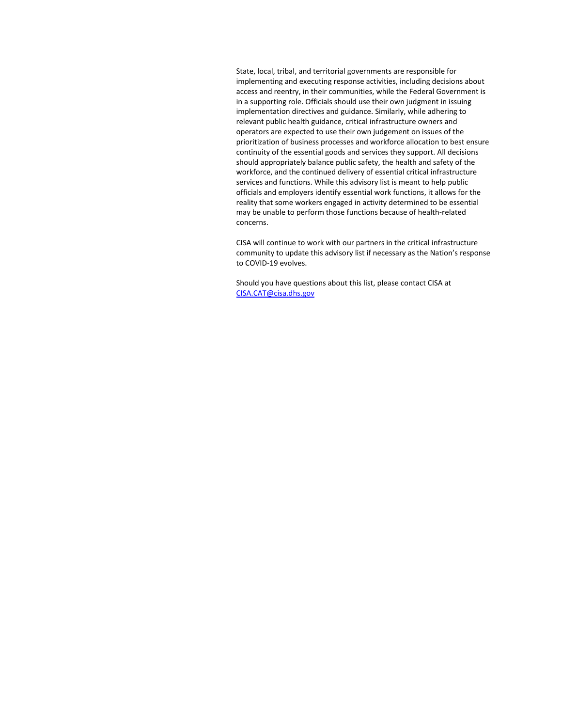State, local, tribal, and territorial governments are responsible for implementing and executing response activities, including decisions about access and reentry, in their communities, while the Federal Government is in a supporting role. Officials should use their own judgment in issuing implementation directives and guidance. Similarly, while adhering to relevant public health guidance, critical infrastructure owners and operators are expected to use their own judgement on issues of the prioritization of business processes and workforce allocation to best ensure continuity of the essential goods and services they support. All decisions should appropriately balance public safety, the health and safety of the workforce, and the continued delivery of essential critical infrastructure services and functions. While this advisory list is meant to help public officials and employers identify essential work functions, it allows for the reality that some workers engaged in activity determined to be essential may be unable to perform those functions because of health-related concerns.

CISA will continue to work with our partners in the critical infrastructure community to update this advisory list if necessary as the Nation's response to COVID-19 evolves.

Should you have questions about this list, please contact CISA at [CISA.CAT@cisa.dhs.gov](mailto:CISA.CAT@cisa.dhs.gov)